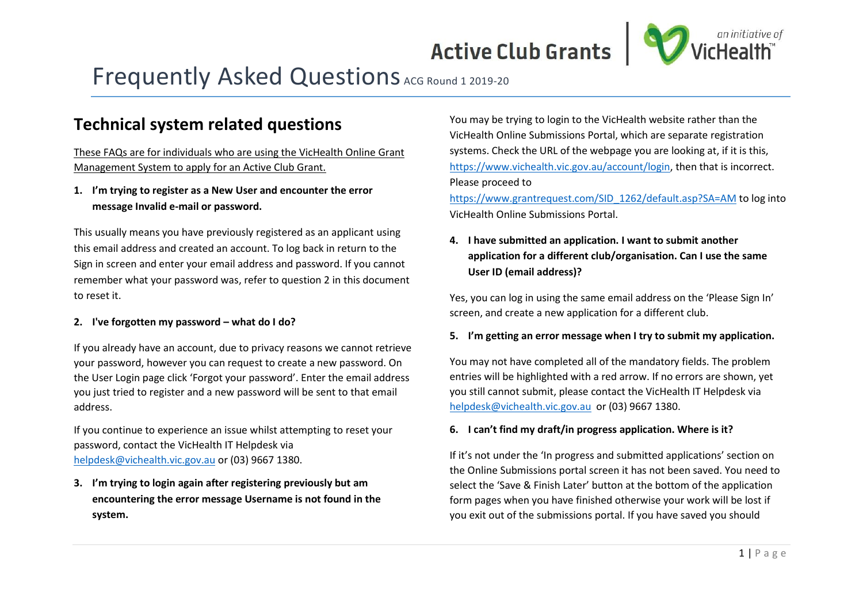## **Active Club Grants**



### Frequently Asked Questions ACG Round 1 2019-20

### **Technical system related questions**

These FAQs are for individuals who are using the VicHealth Online Grant Management System to apply for an Active Club Grant.

**1. I'm trying to register as a New User and encounter the error message Invalid e-mail or password.**

This usually means you have previously registered as an applicant using this email address and created an account. To log back in return to the Sign in screen and enter your email address and password. If you cannot remember what your password was, refer to question 2 in this document to reset it.

#### **2. I've forgotten my password – what do I do?**

If you already have an account, due to privacy reasons we cannot retrieve your password, however you can request to create a new password. On the User Login page click 'Forgot your password'. Enter the email address you just tried to register and a new password will be sent to that email address.

If you continue to experience an issue whilst attempting to reset your password, contact the VicHealth IT Helpdesk via [helpdesk@vichealth.vic.gov.au](mailto:helpdesk@vichealth.vic.gov.au) or (03) 9667 1380.

**3. I'm trying to login again after registering previously but am encountering the error message Username is not found in the system.**

You may be trying to login to the VicHealth website rather than the VicHealth Online Submissions Portal, which are separate registration systems. Check the URL of the webpage you are looking at, if it is this, [https://www.vichealth.vic.gov.au/account/login,](https://www.vichealth.vic.gov.au/account/login) then that is incorrect. Please proceed to

[https://www.grantrequest.com/SID\\_1262/default.asp?SA=AM](https://www.grantrequest.com/SID_1262/default.asp?SA=AM) to log into VicHealth Online Submissions Portal.

#### **4. I have submitted an application. I want to submit another application for a different club/organisation. Can I use the same User ID (email address)?**

Yes, you can log in using the same email address on the 'Please Sign In' screen, and create a new application for a different club.

#### **5. I'm getting an error message when I try to submit my application.**

You may not have completed all of the mandatory fields. The problem entries will be highlighted with a red arrow. If no errors are shown, yet you still cannot submit, please contact the VicHealth IT Helpdesk via [helpdesk@vichealth.vic.gov.au](mailto:helpdesk@vichealth.vic.gov.au) or (03) 9667 1380.

#### **6. I can't find my draft/in progress application. Where is it?**

If it's not under the 'In progress and submitted applications' section on the Online Submissions portal screen it has not been saved. You need to select the 'Save & Finish Later' button at the bottom of the application form pages when you have finished otherwise your work will be lost if you exit out of the submissions portal. If you have saved you should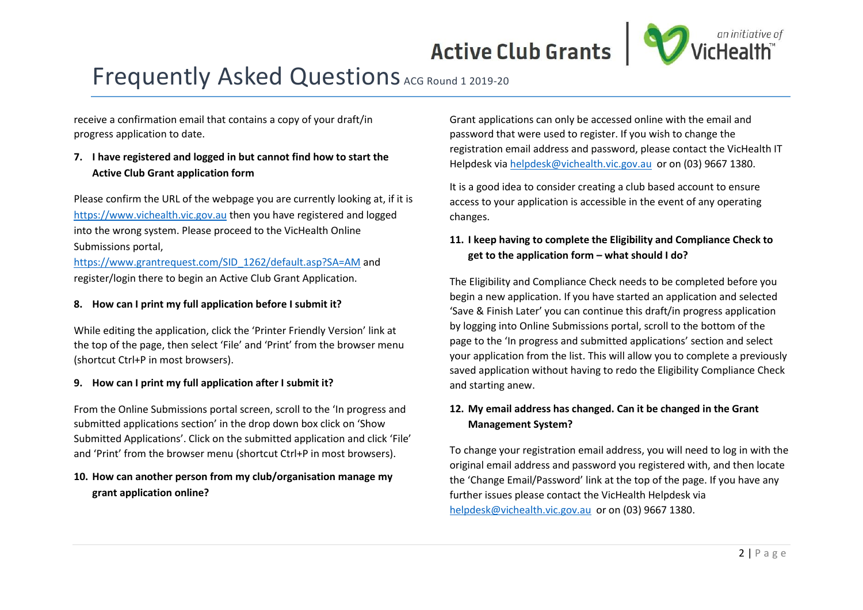## **Active Club Grants**



## Frequently Asked Questions ACG Round 1 2019-20

receive a confirmation email that contains a copy of your draft/in progress application to date.

#### **7. I have registered and logged in but cannot find how to start the Active Club Grant application form**

Please confirm the URL of the webpage you are currently looking at, if it is [https://www.vichealth.vic.gov.au](https://www.vichealth.vic.gov.au/) then you have registered and logged into the wrong system. Please proceed to the VicHealth Online Submissions portal,

[https://www.grantrequest.com/SID\\_1262/default.asp?SA=AM](https://www.grantrequest.com/SID_1262/default.asp?SA=AM) and register/login there to begin an Active Club Grant Application.

#### **8. How can I print my full application before I submit it?**

While editing the application, click the 'Printer Friendly Version' link at the top of the page, then select 'File' and 'Print' from the browser menu (shortcut Ctrl+P in most browsers).

#### **9. How can I print my full application after I submit it?**

From the Online Submissions portal screen, scroll to the 'In progress and submitted applications section' in the drop down box click on 'Show Submitted Applications'. Click on the submitted application and click 'File' and 'Print' from the browser menu (shortcut Ctrl+P in most browsers).

#### **10. How can another person from my club/organisation manage my grant application online?**

Grant applications can only be accessed online with the email and password that were used to register. If you wish to change the registration email address and password, please contact the VicHealth IT Helpdesk vi[a helpdesk@vichealth.vic.gov.au](mailto:helpdesk@vichealth.vic.gov.au) or on (03) 9667 1380.

It is a good idea to consider creating a club based account to ensure access to your application is accessible in the event of any operating changes.

#### **11. I keep having to complete the Eligibility and Compliance Check to get to the application form – what should I do?**

The Eligibility and Compliance Check needs to be completed before you begin a new application. If you have started an application and selected 'Save & Finish Later' you can continue this draft/in progress application by logging into Online Submissions portal, scroll to the bottom of the page to the 'In progress and submitted applications' section and select your application from the list. This will allow you to complete a previously saved application without having to redo the Eligibility Compliance Check and starting anew.

#### **12. My email address has changed. Can it be changed in the Grant Management System?**

To change your registration email address, you will need to log in with the original email address and password you registered with, and then locate the 'Change Email/Password' link at the top of the page. If you have any further issues please contact the VicHealth Helpdesk via [helpdesk@vichealth.vic.gov.au](mailto:helpdesk@vichealth.vic.gov.au) or on (03) 9667 1380.